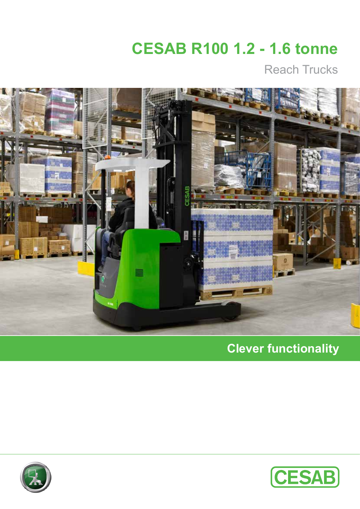# **CESAB R100 1.2 - 1.6 tonne**

Reach Trucks



# **Clever functionality**



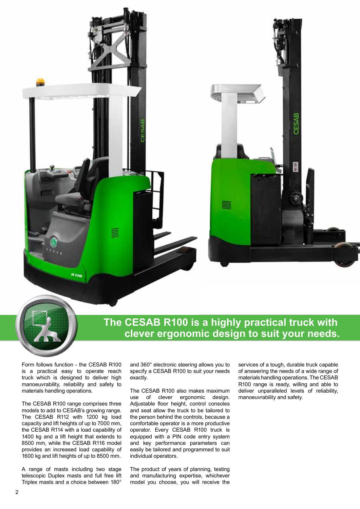### **The CESAB R100 is a highly practical truck with clever ergonomic design to suit your needs.**

Form follows function - the CESAB R100 is a practical easy to operate reach truck which is designed to deliver high manoeuvrability, reliability and safety to materials handling operations.

RIB

言

The CESAB R100 range comprises three models to add to CESAB's growing range. The CESAB R112 with 1200 kg load capacity and lift heights of up to 7000 mm, the CESAB R114 with a load capability of 1400 kg and a lift height that extends to 8500 mm, while the CESAB R116 model provides an increased load capability of 1600 kg and lift heights of up to 8500 mm.

A range of masts including two stage telescopic Duplex masts and full free lift Triplex masts and a choice between 180°

and 360° electronic steering allows you to specify a CESAB R100 to suit your needs exactly.

The CESAB R100 also makes maximum use of clever ergonomic design. Adjustable floor height, control consoles and seat allow the truck to be tailored to the person behind the controls, because a comfortable operator is a more productive operator. Every CESAB R100 truck is equipped with a PIN code entry system and key performance parameters can easily be tailored and programmed to suit individual operators.

The product of years of planning, testing and manufacturing expertise, whichever model you choose, you will receive the

services of a tough, durable truck capable of answering the needs of a wide range of materials handling operations. The CESAB R100 range is ready, willing and able to deliver unparalleled levels of reliability, manoeuvrability and safety.

ESAB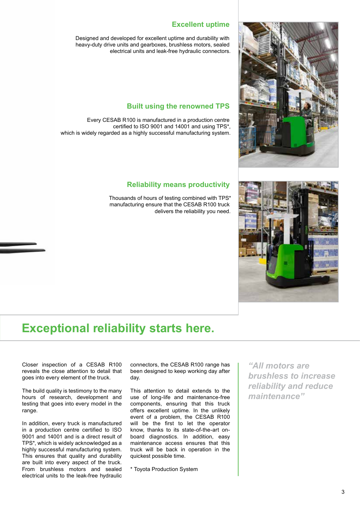#### **Excellent uptime**

Designed and developed for excellent uptime and durability with heavy-duty drive units and gearboxes, brushless motors, sealed electrical units and leak-free hydraulic connectors.

#### **Built using the renowned TPS**

Every CESAB R100 is manufactured in a production centre certified to ISO 9001 and 14001 and using TPS\*, which is widely regarded as a highly successful manufacturing system.

### **Reliability means productivity**

Thousands of hours of testing combined with TPS\* manufacturing ensure that the CESAB R100 truck delivers the reliability you need.





# **Exceptional reliability starts here.**

Closer inspection of a CESAB R100 reveals the close attention to detail that goes into every element of the truck.

The build quality is testimony to the many hours of research, development and testing that goes into every model in the range.

In addition, every truck is manufactured in a production centre certified to ISO 9001 and 14001 and is a direct result of TPS\*, which is widely acknowledged as a highly successful manufacturing system. This ensures that quality and durability are built into every aspect of the truck. From brushless motors and sealed electrical units to the leak-free hydraulic

connectors, the CESAB R100 range has been designed to keep working day after day.

This attention to detail extends to the use of long-life and maintenance-free components, ensuring that this truck offers excellent uptime. In the unlikely event of a problem, the CESAB R100 will be the first to let the operator know, thanks to its state-of-the-art onboard diagnostics. In addition, easy maintenance access ensures that this truck will be back in operation in the quickest possible time.

\* Toyota Production System

*"All motors are brushless to increase reliability and reduce maintenance"*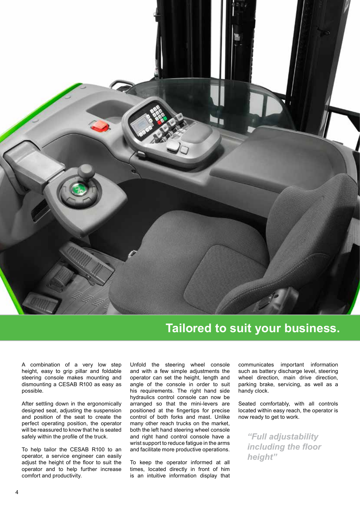

## **Tailored to suit your business.**

A combination of a very low step height, easy to grip pillar and foldable steering console makes mounting and dismounting a CESAB R100 as easy as possible.

After settling down in the ergonomically designed seat, adjusting the suspension and position of the seat to create the perfect operating position, the operator will be reassured to know that he is seated safely within the profile of the truck.

To help tailor the CESAB R100 to an operator, a service engineer can easily adjust the height of the floor to suit the operator and to help further increase comfort and productivity.

Unfold the steering wheel console and with a few simple adjustments the operator can set the height, length and angle of the console in order to suit his requirements. The right hand side hydraulics control console can now be arranged so that the mini-levers are positioned at the fingertips for precise control of both forks and mast. Unlike many other reach trucks on the market, both the left hand steering wheel console and right hand control console have a wrist support to reduce fatigue in the arms and facilitate more productive operations.

To keep the operator informed at all times, located directly in front of him is an intuitive information display that

communicates important information such as battery discharge level, steering wheel direction, main drive direction, parking brake, servicing, as well as a handy clock.

Seated comfortably, with all controls located within easy reach, the operator is now ready to get to work.

*"Full adjustability including the floor height"*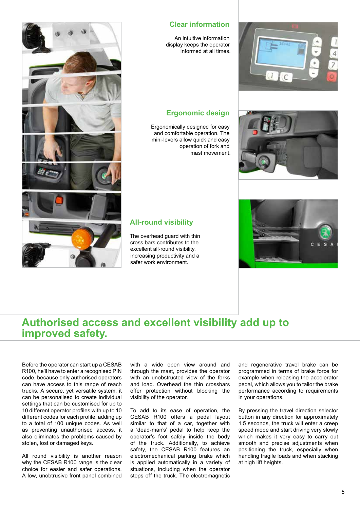

### **Clear information**

An intuitive information display keeps the operator informed at all times.

### **Ergonomic design**

Ergonomically designed for easy and comfortable operation. The mini-levers allow quick and easy operation of fork and mast movement.







# **Authorised access and excellent visibility add up to improved safety.**

**All-round visibility** 

The overhead guard with thin cross bars contributes to the excellent all-round visibility, increasing productivity and a safer work environment.

Before the operator can start up a CESAB R100, he'll have to enter a recognised PIN code, because only authorised operators can have access to this range of reach trucks. A secure, yet versatile system, it can be personalised to create individual settings that can be customised for up to 10 different operator profiles with up to 10 different codes for each profile, adding up to a total of 100 unique codes. As well as preventing unauthorised access, it also eliminates the problems caused by stolen, lost or damaged keys.

All round visibility is another reason why the CESAB R100 range is the clear choice for easier and safer operations. A low, unobtrusive front panel combined

with a wide open view around and through the mast, provides the operator with an unobstructed view of the forks and load. Overhead the thin crossbars offer protection without blocking the visibility of the operator.

To add to its ease of operation, the CESAB R100 offers a pedal layout similar to that of a car, together with a 'dead-man's' pedal to help keep the operator's foot safely inside the body of the truck. Additionally, to achieve safety, the CESAB R100 features an electromechanical parking brake which is applied automatically in a variety of situations, including when the operator steps off the truck. The electromagnetic

and regenerative travel brake can be programmed in terms of brake force for example when releasing the accelerator pedal, which allows you to tailor the brake performance according to requirements in your operations.

By pressing the travel direction selector button in any direction for approximately 1.5 seconds, the truck will enter a creep speed mode and start driving very slowly which makes it very easy to carry out smooth and precise adjustments when positioning the truck, especially when handling fragile loads and when stacking at high lift heights.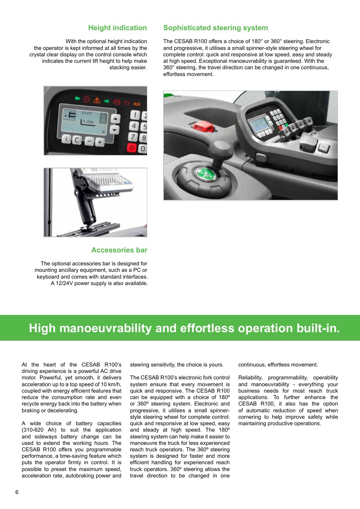#### **Height indication**

With the optional height indication the operator is kept informed at all times by the crystal clear display on the control console which indicates the current lift height to help make stacking easier.

#### **Sophisticated steering system**

The CESAB R100 offers a choice of 180° or 360° steering. Electronic and progressive, it utilises a small spinner-style steering wheel for complete control: quick and responsive at low speed, easy and steady at high speed. Exceptional manoeuvrability is guaranteed. With the 360° steering, the travel direction can be changed in one continuous, effortless movement.





#### **Accessories bar**

The optional accessories bar is designed for mounting ancillary equipment, such as a PC or keyboard and comes with standard interfaces. A 12/24V power supply is also available.



### **High manoeuvrability and effortless operation built-in.**

At the heart of the CESAB R100's driving experience is a powerful AC drive motor. Powerful, yet smooth, it delivers acceleration up to a top speed of 10 km/h, coupled with energy efficient features that reduce the consumption rate and even recycle energy back into the battery when braking or decelerating.

A wide choice of battery capacities (310-620 Ah) to suit the application and sideways battery change can be used to extend the working hours. The CESAB R100 offers you programmable performance, a time-saving feature which puts the operator firmly in control. It is possible to preset the maximum speed, acceleration rate, autobraking power and

steering sensitivity, the choice is yours.

The CESAB R100's electronic fork control system ensure that every movement is quick and responsive. The CESAB R100 can be equipped with a choice of 180º or 360º steering system. Electronic and progressive, it utilises a small spinnerstyle steering wheel for complete control: quick and responsive at low speed, easy and steady at high speed. The 180º steering system can help make it easier to manoeuvre the truck for less experienced reach truck operators. The 360º steering system is designed for faster and more efficient handling for experienced reach truck operators. 360º steering allows the travel direction to be changed in one

continuous, effortless movement.

Reliability, programmability, operability and manoeuvrability - everything your business needs for most reach truck applications. To further enhance the CESAB R100, it also has the option of automatic reduction of speed when cornering to help improve safety while maintaining productive operations.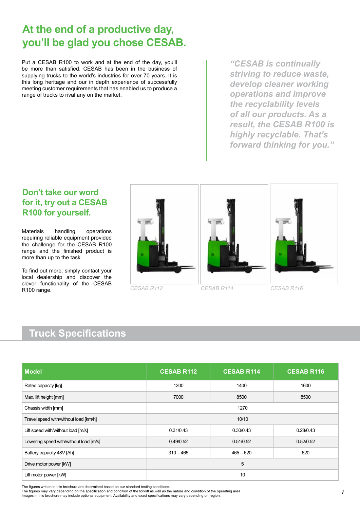### **At the end of a productive day, you'll be glad you chose CESAB.**

Put a CESAB R100 to work and at the end of the day, you'll be more than satisfied. CESAB has been in the business of supplying trucks to the world's industries for over 70 years. It is this long heritage and our in depth experience of successfully meeting customer requirements that has enabled us to produce a range of trucks to rival any on the market.

*"CESAB is continually striving to reduce waste, develop cleaner working operations and improve the recyclability levels of all our products. As a result, the CESAB R100 is highly recyclable. That's forward thinking for you."*

### **Don't take our word for it, try out a CESAB R100 for yourself.**

Materials handling operations requiring reliable equipment provided the challenge for the CESAB R100 range and the finished product is more than up to the task.

To find out more, simply contact your local dealership and discover the clever functionality of the CESAB R100 range.



### **Truck Specifications**

| <b>Model</b>                           | <b>CESAB R112</b> | <b>CESAB R114</b> | <b>CESAB R116</b> |
|----------------------------------------|-------------------|-------------------|-------------------|
| Rated capacity [kg]                    | 1200              | 1400              | 1600              |
| Max. lift height [mm]                  | 7000              | 8500              | 8500              |
| Chassis width [mm]                     | 1270              |                   |                   |
| Travel speed with/without load [km/h]  | 10/10             |                   |                   |
| Lift speed with/without load [m/s]     | 0.31/0.43         | 0.30/0.43         | 0.28/0.43         |
| Lowering speed with/without load [m/s] | 0.49/0.52         | 0.51/0.52         | 0.52/0.52         |
| Battery capacity 48V [Ah]              | $310 - 465$       | $465 - 620$       | 620               |
| Drive motor power [kW]                 | 5                 |                   |                   |
| Lift motor power [kW]                  | 10                |                   |                   |

The figures written in this brochure are determined based on our standard testing conditions.

The figures may vary depending on the specification and condition of the forklift as well as the nature and condition of the operating area.<br>Images in this brochure may include optional equipment. Availability and exact sp